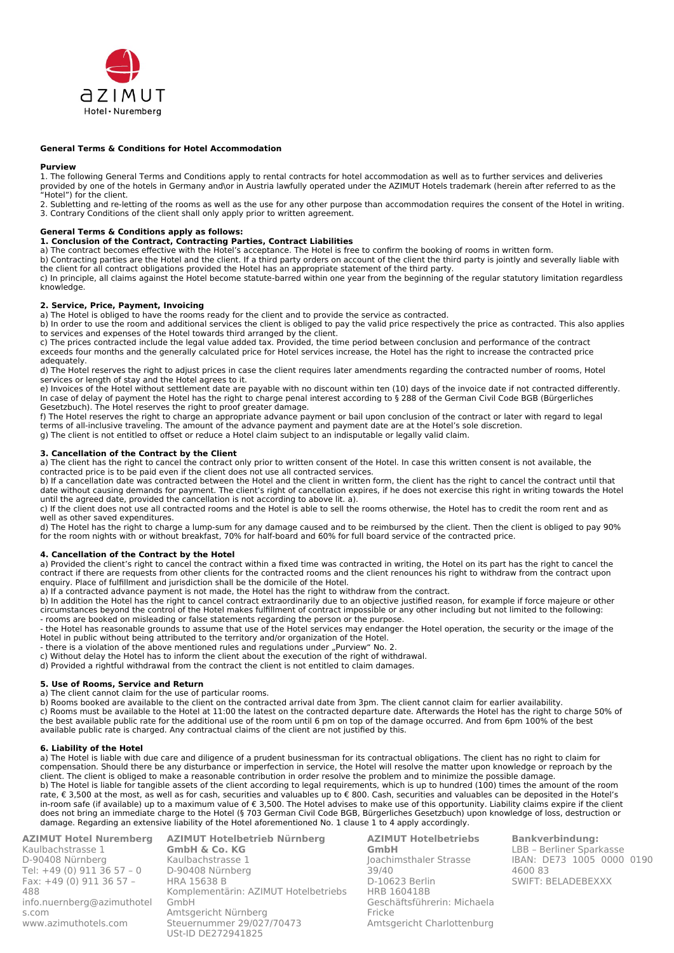

#### **General Terms & Conditions for Hotel Accommodation**

#### **Purview**

1. The following General Terms and Conditions apply to rental contracts for hotel accommodation as well as to further services and deliveries provided by one of the hotels in Germany and\or in Austria lawfully operated under the AZIMUT Hotels trademark (herein after referred to as the "Hotel") for the client.

2. Subletting and re-letting of the rooms as well as the use for any other purpose than accommodation requires the consent of the Hotel in writing. 3. Contrary Conditions of the client shall only apply prior to written agreement.

#### **General Terms & Conditions apply as follows:**

# **1. Conclusion of the Contract, Contracting Parties, Contract Liabilities**

a) The contract becomes effective with the Hotel's acceptance. The Hotel is free to confirm the booking of rooms in written form.

b) Contracting parties are the Hotel and the client. If a third party orders on account of the client the third party is jointly and severally liable with the client for all contract obligations provided the Hotel has an appropriate statement of the third party.

c) In principle, all claims against the Hotel become statute-barred within one year from the beginning of the regular statutory limitation regardless knowledge.

### **2. Service, Price, Payment, Invoicing**

a) The Hotel is obliged to have the rooms ready for the client and to provide the service as contracted.

b) In order to use the room and additional services the client is obliged to pay the valid price respectively the price as contracted. This also applies to services and expenses of the Hotel towards third arranged by the client.

c) The prices contracted include the legal value added tax. Provided, the time period between conclusion and performance of the contract exceeds four months and the generally calculated price for Hotel services increase, the Hotel has the right to increase the contracted price adequately.

d) The Hotel reserves the right to adjust prices in case the client requires later amendments regarding the contracted number of rooms, Hotel services or length of stay and the Hotel agrees to it.

e) Invoices of the Hotel without settlement date are payable with no discount within ten (10) days of the invoice date if not contracted differently. In case of delay of payment the Hotel has the right to charge penal interest according to § 288 of the German Civil Code BGB (Bürgerliches Gesetzbuch). The Hotel reserves the right to proof greater damage.

f) The Hotel reserves the right to charge an appropriate advance payment or bail upon conclusion of the contract or later with regard to legal terms of all-inclusive traveling. The amount of the advance payment and payment date are at the Hotel's sole discretion.

g) The client is not entitled to offset or reduce a Hotel claim subject to an indisputable or legally valid claim.

#### **3. Cancellation of the Contract by the Client**

a) The client has the right to cancel the contract only prior to written consent of the Hotel. In case this written consent is not available, the contracted price is to be paid even if the client does not use all contracted services.

b) If a cancellation date was contracted between the Hotel and the client in written form, the client has the right to cancel the contract until that date without causing demands for payment. The client's right of cancellation expires, if he does not exercise this right in writing towards the Hotel until the agreed date, provided the cancellation is not according to above lit. a).

c) If the client does not use all contracted rooms and the Hotel is able to sell the rooms otherwise, the Hotel has to credit the room rent and as well as other saved expenditures.

d) The Hotel has the right to charge a lump-sum for any damage caused and to be reimbursed by the client. Then the client is obliged to pay 90% for the room nights with or without breakfast, 70% for half-board and 60% for full board service of the contracted price.

# **4. Cancellation of the Contract by the Hotel**

a) Provided the client's right to cancel the contract within a fixed time was contracted in writing, the Hotel on its part has the right to cancel the contract if there are requests from other clients for the contracted rooms and the client renounces his right to withdraw from the contract upon enquiry. Place of fulfillment and jurisdiction shall be the domicile of the Hotel.

a) If a contracted advance payment is not made, the Hotel has the right to withdraw from the contract.

b) In addition the Hotel has the right to cancel contract extraordinarily due to an objective justified reason, for example if force majeure or other circumstances beyond the control of the Hotel makes fulfillment of contract impossible or any other including but not limited to the following: - rooms are booked on misleading or false statements regarding the person or the purpose.

- the Hotel has reasonable grounds to assume that use of the Hotel services may endanger the Hotel operation, the security or the image of the Hotel in public without being attributed to the territory and/or organization of the Hotel.

- there is a violation of the above mentioned rules and regulations under "Purview" No. 2.

c) Without delay the Hotel has to inform the client about the execution of the right of withdrawal.

d) Provided a rightful withdrawal from the contract the client is not entitled to claim damages.

#### **5. Use of Rooms, Service and Return**

a) The client cannot claim for the use of particular rooms.

b) Rooms booked are available to the client on the contracted arrival date from 3pm. The client cannot claim for earlier availability.

c) Rooms must be available to the Hotel at 11:00 the latest on the contracted departure date. Afterwards the Hotel has the right to charge 50% of the best available public rate for the additional use of the room until 6 pm on top of the damage occurred. And from 6pm 100% of the best available public rate is charged. Any contractual claims of the client are not justified by this.

# **6. Liability of the Hotel**

a) The Hotel is liable with due care and diligence of a prudent businessman for its contractual obligations. The client has no right to claim for compensation. Should there be any disturbance or imperfection in service, the Hotel will resolve the matter upon knowledge or reproach by the client. The client is obliged to make a reasonable contribution in order resolve the problem and to minimize the possible damage. b) The Hotel is liable for tangible assets of the client according to legal requirements, which is up to hundred (100) times the amount of the room rate, € 3,500 at the most, as well as for cash, securities and valuables up to € 800. Cash, securities and valuables can be deposited in the Hotel's in-room safe (if available) up to a maximum value of € 3,500. The Hotel advises to make use of this opportunity. Liability claims expire if the client does not bring an immediate charge to the Hotel (§ 703 German Civil Code BGB, Bürgerliches Gesetzbuch) upon knowledge of loss, destruction or damage. Regarding an extensive liability of the Hotel aforementioned No. 1 clause 1 to 4 apply accordingly.

**AZIMUT Hotel Nuremberg** Kaulbachstrasse 1 D-90408 Nürnberg Tel: +49 (0) 911 36 57 – 0 Fax: +49 (0) 911 36 57 – 488 [info.nuernberg@azimuthotel](mailto:info.nuernberg@azimuthotels.com) [s.com](mailto:info.nuernberg@azimuthotels.com) [www.azimuthotels.com](http://www.azimuthotels.com/)

**AZIMUT Hotelbetrieb Nürnberg GmbH & Co. KG** Kaulbachstrasse 1 D-90408 Nürnberg HRA 15638 B Komplementärin: AZIMUT Hotelbetriebs GmbH Amtsgericht Nürnberg Steuernummer 29/027/70473 USt-ID DE272941825

**AZIMUT Hotelbetriebs GmbH** Joachimsthaler Strasse 39/40 D-10623 Berlin HRB 160418B Geschäftsführerin: Michaela Fricke Amtsgericht Charlottenburg **Bankverbindung:** LBB – Berliner Sparkasse IBAN: DE73 1005 0000 0190 4600 83 SWIFT: BELADEBEXXX